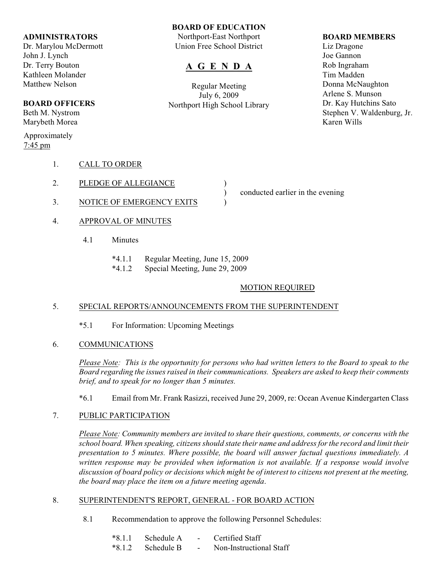### **ADMINISTRATORS**

Dr. Marylou McDermott John J. Lynch Dr. Terry Bouton Kathleen Molander Matthew Nelson

# **BOARD OFFICERS**

Beth M. Nystrom Marybeth Morea

Approximately 7:45 pm

## 1. CALL TO ORDER

- 2. PLEDGE OF ALLEGIANCE
- 3. NOTICE OF EMERGENCY EXITS  $\qquad$
- 4. APPROVAL OF MINUTES
	- 4.1 Minutes
		- \*4.1.1 Regular Meeting, June 15, 2009
		- \*4.1.2 Special Meeting, June 29, 2009

## MOTION REQUIRED

## 5. SPECIAL REPORTS/ANNOUNCEMENTS FROM THE SUPERINTENDENT

- \*5.1 For Information: Upcoming Meetings
- 6. COMMUNICATIONS

*Please Note: This is the opportunity for persons who had written letters to the Board to speak to the Board regarding the issues raised in their communications. Speakers are asked to keep their comments brief, and to speak for no longer than 5 minutes.*

\*6.1 Email from Mr. Frank Rasizzi, received June 29, 2009, re: Ocean Avenue Kindergarten Class

## 7. PUBLIC PARTICIPATION

*Please Note: Community members are invited to share their questions, comments, or concerns with the school board. When speaking, citizens should state their name and address for the record and limit their presentation to 5 minutes. Where possible, the board will answer factual questions immediately. A written response may be provided when information is not available. If a response would involve discussion of board policy or decisions which might be of interest to citizens not present at the meeting, the board may place the item on a future meeting agenda*.

## 8. SUPERINTENDENT'S REPORT, GENERAL - FOR BOARD ACTION

8.1 Recommendation to approve the following Personnel Schedules:

| $*8.1.1$ | - Schedule A | $\sim$                   | Certified Staff         |
|----------|--------------|--------------------------|-------------------------|
| $*8.1.2$ | - Schedule B | $\overline{\phantom{0}}$ | Non-Instructional Staff |

## **BOARD OF EDUCATION**

Northport-East Northport Union Free School District

# **A G E N D A**

Regular Meeting July 6, 2009 Northport High School Library

#### **BOARD MEMBERS**

Liz Dragone Joe Gannon Rob Ingraham Tim Madden Donna McNaughton Arlene S. Munson Dr. Kay Hutchins Sato Stephen V. Waldenburg, Jr. Karen Wills

- ) conducted earlier in the evening
-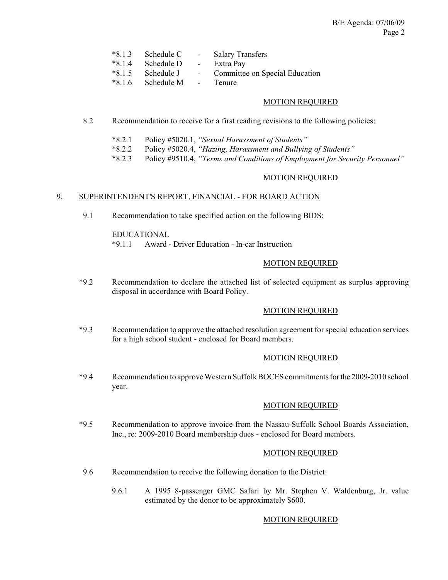| $*8.1.3$ Schedule C           | - Salary Transfers               |
|-------------------------------|----------------------------------|
| *8.1.4 Schedule D - Extra Pay |                                  |
| *8.1.5 Schedule J             | - Committee on Special Education |
| *8.1.6 Schedule M - Tenure    |                                  |

### MOTION REQUIRED

- 8.2 Recommendation to receive for a first reading revisions to the following policies:
	- \*8.2.1 Policy #5020.1, *"Sexual Harassment of Students"*
	- \*8.2.2 Policy #5020.4, *"Hazing, Harassment and Bullying of Students"*
	- \*8.2.3 Policy #9510.4, *"Terms and Conditions of Employment for Security Personnel"*

### MOTION REQUIRED

#### 9. SUPERINTENDENT'S REPORT, FINANCIAL - FOR BOARD ACTION

9.1 Recommendation to take specified action on the following BIDS:

EDUCATIONAL \*9.1.1 Award - Driver Education - In-car Instruction

#### MOTION REQUIRED

\*9.2 Recommendation to declare the attached list of selected equipment as surplus approving disposal in accordance with Board Policy.

## MOTION REQUIRED

\*9.3 Recommendation to approve the attached resolution agreement for special education services for a high school student - enclosed for Board members.

#### MOTION REQUIRED

\*9.4 Recommendation to approve Western SuffolkBOCES commitments for the 2009-2010 school year.

#### MOTION REQUIRED

\*9.5 Recommendation to approve invoice from the Nassau-Suffolk School Boards Association, Inc., re: 2009-2010 Board membership dues - enclosed for Board members.

#### MOTION REQUIRED

- 9.6 Recommendation to receive the following donation to the District:
	- 9.6.1 A 1995 8-passenger GMC Safari by Mr. Stephen V. Waldenburg, Jr. value estimated by the donor to be approximately \$600.

#### MOTION REQUIRED